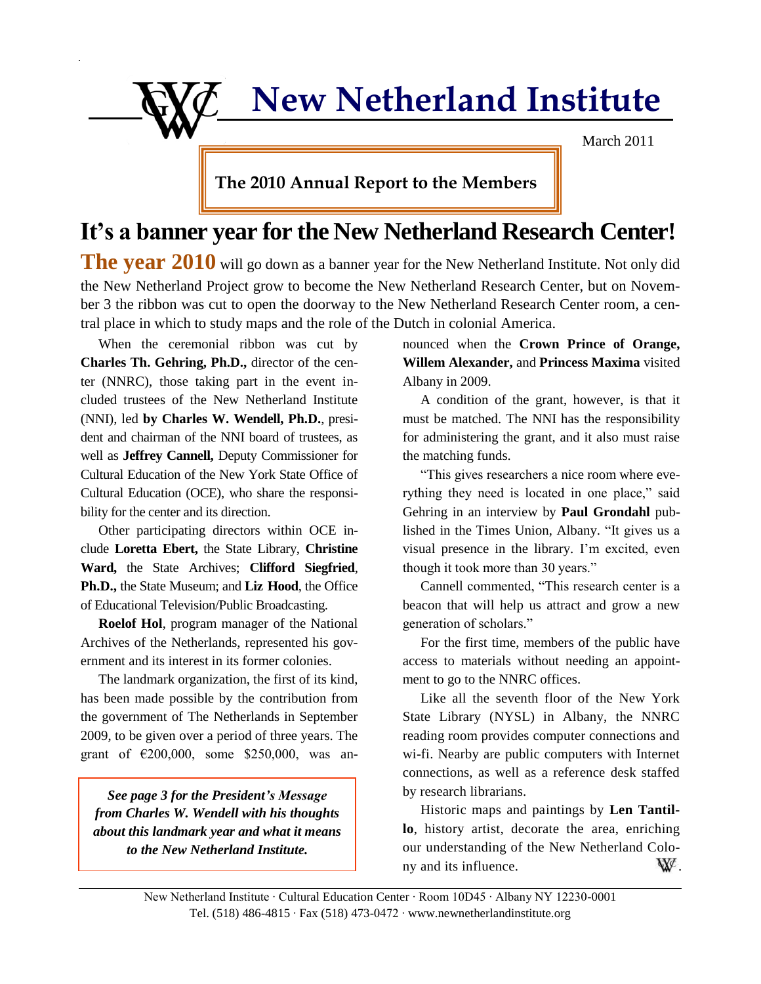**New Netherland Institute**

March 2011

**The 2010 Annual Report to the Members**

## **It's a banner year for the New Netherland Research Center!**

The vear 2010 will go down as a banner year for the New Netherland Institute. Not only did the New Netherland Project grow to become the New Netherland Research Center, but on November 3 the ribbon was cut to open the doorway to the New Netherland Research Center room, a central place in which to study maps and the role of the Dutch in colonial America.

When the ceremonial ribbon was cut by **Charles Th. Gehring, Ph.D.,** director of the center (NNRC), those taking part in the event included trustees of the New Netherland Institute (NNI), led **by Charles W. Wendell, Ph.D.**, president and chairman of the NNI board of trustees, as well as **Jeffrey Cannell,** Deputy Commissioner for Cultural Education of the New York State Office of Cultural Education (OCE), who share the responsibility for the center and its direction.

Other participating directors within OCE include **Loretta Ebert,** the State Library, **Christine Ward,** the State Archives; **Clifford Siegfried**, **Ph.D.,** the State Museum; and **Liz Hood**, the Office of Educational Television/Public Broadcasting.

**Roelof Hol**, program manager of the National Archives of the Netherlands, represented his government and its interest in its former colonies.

The landmark organization, the first of its kind, has been made possible by the contribution from the government of The Netherlands in September 2009, to be given over a period of three years. The grant of  $\epsilon$ 200,000, some \$250,000, was an-

*See page 3 for the President's Message from Charles W. Wendell with his thoughts about this landmark year and what it means to the New Netherland Institute.*

nounced when the **Crown Prince of Orange, Willem Alexander,** and **Princess Maxima** visited Albany in 2009.

A condition of the grant, however, is that it must be matched. The NNI has the responsibility for administering the grant, and it also must raise the matching funds.

"This gives researchers a nice room where everything they need is located in one place," said Gehring in an interview by **Paul Grondahl** published in the Times Union, Albany. "It gives us a visual presence in the library. I'm excited, even though it took more than 30 years."

Cannell commented, "This research center is a beacon that will help us attract and grow a new generation of scholars."

For the first time, members of the public have access to materials without needing an appointment to go to the NNRC offices.

Like all the seventh floor of the New York State Library (NYSL) in Albany, the NNRC reading room provides computer connections and wi-fi. Nearby are public computers with Internet connections, as well as a reference desk staffed by research librarians.

Historic maps and paintings by **Len Tantillo**, history artist, decorate the area, enriching our understanding of the New Netherland Colony and its influence.  $\mathbf{W}^{\prime}$ .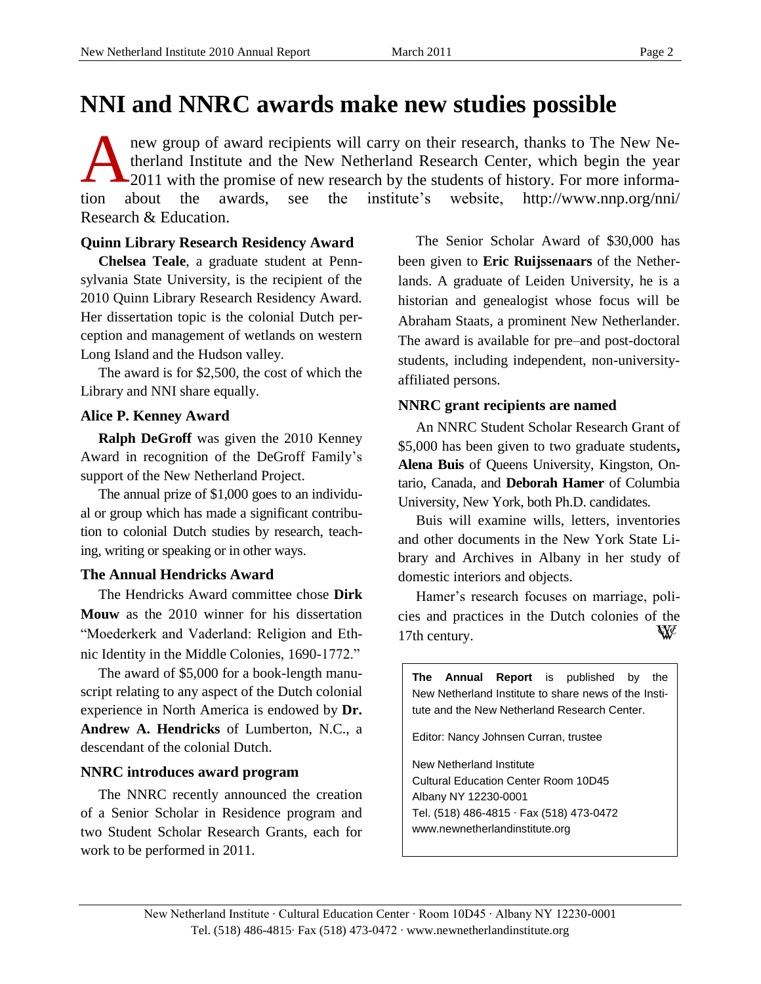# **NNI and NNRC awards make new studies possible**

new group of award recipients will carry on their research, thanks to The New Netherland Institute and the New Netherland Research Center, which begin the year 2011 with the promise of new research by the students of history. For more information about the awards, see the institute's website, [http://www.nnp.org/nni/](http://www.nnp.org/nni/%0bResearch) [Research](http://www.nnp.org/nni/%0bResearch) & Education. A

### **Quinn Library Research Residency Award**

**Chelsea Teale**, a graduate student at Pennsylvania State University, is the recipient of the 2010 Quinn Library Research Residency Award. Her dissertation topic is the colonial Dutch perception and management of wetlands on western Long Island and the Hudson valley.

The award is for \$2,500, the cost of which the Library and NNI share equally.

## **Alice P. Kenney Award**

**Ralph DeGroff** was given the 2010 Kenney Award in recognition of the DeGroff Family's support of the New Netherland Project.

The annual prize of \$1,000 goes to an individual or group which has made a significant contribution to colonial Dutch studies by research, teaching, writing or speaking or in other ways.

### **The Annual Hendricks Award**

The Hendricks Award committee chose **Dirk Mouw** as the 2010 winner for his dissertation "Moederkerk and Vaderland: Religion and Ethnic Identity in the Middle Colonies, 1690-1772."

The award of \$5,000 for a book-length manuscript relating to any aspect of the Dutch colonial experience in North America is endowed by **Dr. Andrew A. Hendricks** of Lumberton, N.C., a descendant of the colonial Dutch.

## **NNRC introduces award program**

The NNRC recently announced the creation of a Senior Scholar in Residence program and two Student Scholar Research Grants, each for work to be performed in 2011.

The Senior Scholar Award of \$30,000 has been given to **Eric Ruijssenaars** of the Netherlands. A graduate of Leiden University, he is a historian and genealogist whose focus will be Abraham Staats, a prominent New Netherlander. The award is available for pre–and post-doctoral students, including independent, non-universityaffiliated persons.

## **NNRC grant recipients are named**

An NNRC Student Scholar Research Grant of \$5,000 has been given to two graduate students**, Alena Buis** of Queens University, Kingston, Ontario, Canada, and **Deborah Hamer** of Columbia University, New York, both Ph.D. candidates.

Buis will examine wills, letters, inventories and other documents in the New York State Library and Archives in Albany in her study of domestic interiors and objects.

Hamer's research focuses on marriage, policies and practices in the Dutch colonies of the W 17th century.

**The Annual Report** is published by the New Netherland Institute to share news of the Institute and the New Netherland Research Center.

Editor: Nancy Johnsen Curran, trustee

New Netherland Institute Cultural Education Center Room 10D45 Albany NY 12230-0001 Tel. (518) 486-4815 ∙ Fax (518) 473-0472 [www.newnetherlandinstitute.org](http://www.newnetherlandinstitute.org/)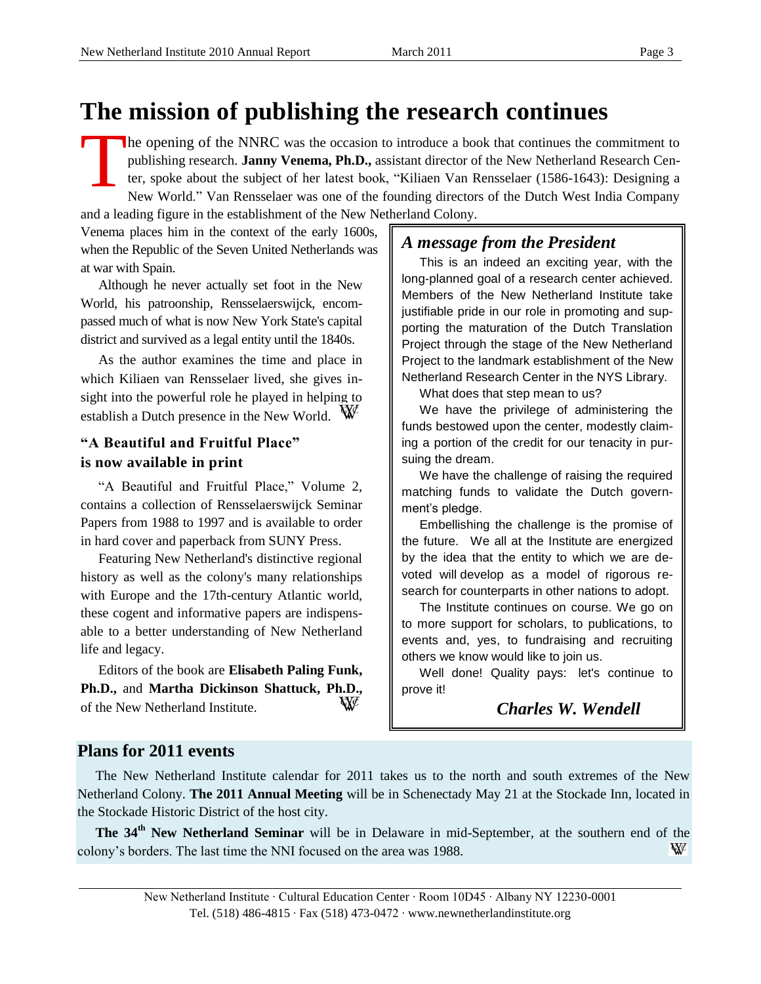# **The mission of publishing the research continues**

he opening of the NNRC was the occasion to introduce a book that continues the commitment to publishing research. **Janny Venema, Ph.D.,** assistant director of the New Netherland Research Center, spoke about the subject of her latest book, ["Kiliaen Van Rensselaer \(1586-1643\): Designing a](http://www.amazon.com/gp/product/9087041969?ie=UTF8&tag=friendsofnewneth&linkCode=as2&camp=1789&creative=9325&creativeASIN=9087041969)  [New World.](http://www.amazon.com/gp/product/9087041969?ie=UTF8&tag=friendsofnewneth&linkCode=as2&camp=1789&creative=9325&creativeASIN=9087041969)" Van Rensselaer was one of the founding directors of the Dutch West India Company and a leading figure in the establishment of the New Netherland Colony. T

Venema places him in the context of the early 1600s, when the Republic of the Seven United Netherlands was at war with Spain.

Although he never actually set foot in the New World, his patroonship, Rensselaerswijck, encompassed much of what is now New York State's capital district and survived as a legal entity until the 1840s.

As the author examines the time and place in which Kiliaen van Rensselaer lived, she gives insight into the powerful role he played in helping to establish a Dutch presence in the New World.

## **"A Beautiful and Fruitful Place" is now available in print**

"A Beautiful and Fruitful Place," Volume 2, contains a collection of Rensselaerswijck Seminar Papers from 1988 to 1997 and is available to order in hard cover and paperback from SUNY Press.

Featuring New Netherland's distinctive regional history as well as the colony's many relationships with Europe and the 17th-century Atlantic world, these cogent and informative papers are indispensable to a better understanding of New Netherland life and legacy.

Editors of the book are **Elisabeth Paling Funk, Ph.D.,** and **Martha Dickinson Shattuck, Ph.D.,**  of the New Netherland Institute.

## *A message from the President*

This is an indeed an exciting year, with the long-planned goal of a research center achieved. Members of the New Netherland Institute take justifiable pride in our role in promoting and supporting the maturation of the Dutch Translation Project through the stage of the New Netherland Project to the landmark establishment of the New Netherland Research Center in the NYS Library.

What does that step mean to us?

We have the privilege of administering the funds bestowed upon the center, modestly claiming a portion of the credit for our tenacity in pursuing the dream.

We have the challenge of raising the required matching funds to validate the Dutch government's pledge.

Embellishing the challenge is the promise of the future. We all at the Institute are energized by the idea that the entity to which we are devoted will develop as a model of rigorous research for counterparts in other nations to adopt.

The Institute continues on course. We go on to more support for scholars, to publications, to events and, yes, to fundraising and recruiting others we know would like to join us.

Well done! Quality pays: let's continue to prove it!

*Charles W. Wendell*

## **Plans for 2011 events**

The New Netherland Institute calendar for 2011 takes us to the north and south extremes of the New Netherland Colony. **The 2011 Annual Meeting** will be in Schenectady May 21 at the Stockade Inn, located in the Stockade Historic District of the host city.

**The 34th New Netherland Seminar** will be in Delaware in mid-September, at the southern end of the colony's borders. The last time the NNI focused on the area was 1988. ₩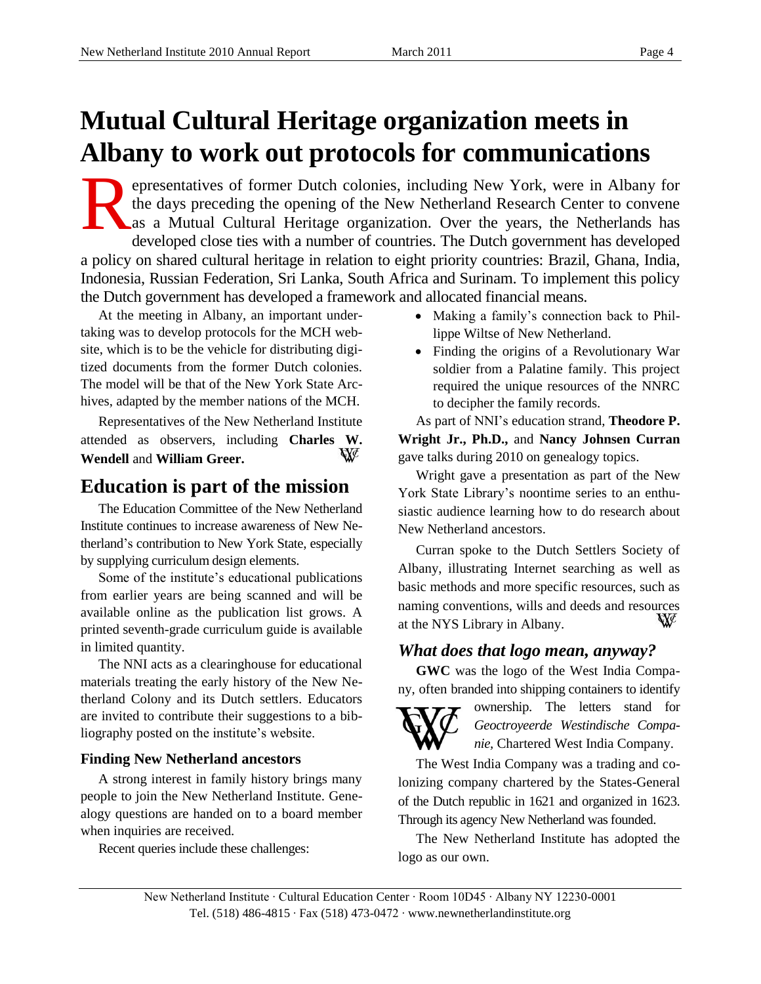# **Mutual Cultural Heritage organization meets in Albany to work out protocols for communications**

epresentatives of former Dutch colonies, including New York, were in Albany for the days preceding the opening of the New Netherland Research Center to convene as a Mutual Cultural Heritage organization. Over the years, the Netherlands has developed close ties with a number of countries. The Dutch government has developed a policy on shared cultural heritage in relation to eight priority countries: Brazil, Ghana, India, Indonesia, Russian Federation, Sri Lanka, South Africa and Surinam. To implement this policy the Dutch government has developed a framework and allocated financial means. R

At the meeting in Albany, an important undertaking was to develop protocols for the MCH website, which is to be the vehicle for distributing digitized documents from the former Dutch colonies. The model will be that of the New York State Archives, adapted by the member nations of the MCH.

Representatives of the New Netherland Institute attended as observers, including **Charles W.**  W **Wendell** and **William Greer.**

## **Education is part of the mission**

The Education Committee of the New Netherland Institute continues to increase awareness of New Netherland's contribution to New York State, especially by supplying curriculum design elements.

Some of the institute's educational publications from earlier years are being scanned and will be available online as the publication list grows. A printed seventh-grade curriculum guide is available in limited quantity.

The NNI acts as a clearinghouse for educational materials treating the early history of the New Netherland Colony and its Dutch settlers. Educators are invited to contribute their suggestions to a bibliography posted on the institute's website.

### **Finding New Netherland ancestors**

A strong interest in family history brings many people to join the New Netherland Institute. Genealogy questions are handed on to a board member when inquiries are received.

Recent queries include these challenges:

- Making a family's connection back to Phillippe Wiltse of New Netherland.
- Finding the origins of a Revolutionary War soldier from a Palatine family. This project required the unique resources of the NNRC to decipher the family records.

As part of NNI's education strand, **Theodore P. Wright Jr., Ph.D.,** and **Nancy Johnsen Curran** gave talks during 2010 on genealogy topics.

Wright gave a presentation as part of the New York State Library's noontime series to an enthusiastic audience learning how to do research about New Netherland ancestors.

Curran spoke to the Dutch Settlers Society of Albany, illustrating Internet searching as well as basic methods and more specific resources, such as naming conventions, wills and deeds and resources at the NYS Library in Albany.

## *What does that logo mean, anyway?*

**GWC** was the logo of the West India Company, often branded into shipping containers to identify



ownership. The letters stand for *Geoctroyeerde Westindische Companie,* Chartered West India Company.

The West India Company was a trading and colonizing company chartered by the States-General of the Dutch republic in 1621 and organized in 1623. Through its agency New Netherland was founded.

The New Netherland Institute has adopted the logo as our own.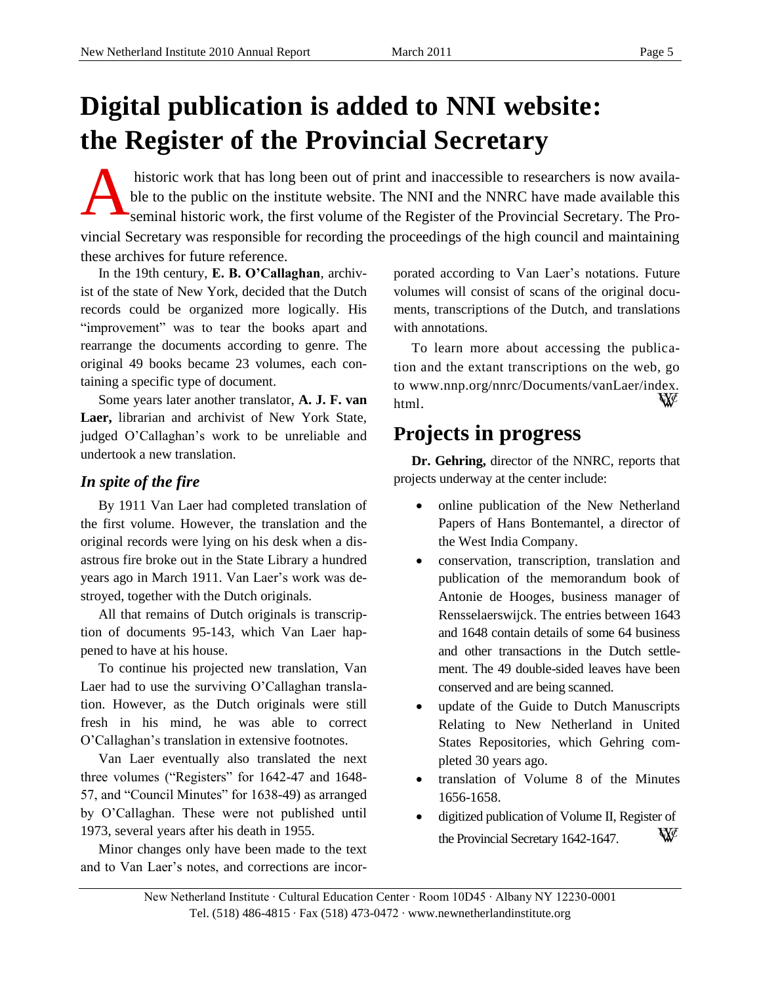# **Digital publication is added to NNI website: the Register of the Provincial Secretary**

historic work that has long been out of print and inaccessible to researchers is now available to the public on the institute website. The NNI and the NNRC have made available this seminal historic work, the first volume of the Register of the Provincial Secretary. The Provincial Secretary was responsible for recording the proceedings of the high council and maintaining these archives for future reference. A

In the 19th century, **E. B. O'Callaghan**, archivist of the state of New York, decided that the Dutch records could be organized more logically. His "improvement" was to tear the books apart and rearrange the documents according to genre. The original 49 books became 23 volumes, each containing a specific type of document.

Some years later another translator, **A. J. F. van Laer,** librarian and archivist of New York State, judged O'Callaghan's work to be unreliable and undertook a new translation.

## *In spite of the fire*

By 1911 Van Laer had completed translation of the first volume. However, the translation and the original records were lying on his desk when a disastrous fire broke out in the State Library a hundred years ago in March 1911. Van Laer's work was destroyed, together with the Dutch originals.

All that remains of Dutch originals is transcription of documents 95-143, which Van Laer happened to have at his house.

To continue his projected new translation, Van Laer had to use the surviving O'Callaghan translation. However, as the Dutch originals were still fresh in his mind, he was able to correct O'Callaghan's translation in extensive footnotes.

Van Laer eventually also translated the next three volumes ("Registers" for 1642-47 and 1648- 57, and "Council Minutes" for 1638-49) as arranged by O'Callaghan. These were not published until 1973, several years after his death in 1955.

Minor changes only have been made to the text and to Van Laer's notes, and corrections are incorporated according to Van Laer's notations. Future volumes will consist of scans of the original documents, transcriptions of the Dutch, and translations with annotations.

To learn more about accessing the publication and the extant transcriptions on the web, go to [www.nnp.org/nnrc/Documents/vanLaer/index.](http://www.nnp.org/nnrc/Documents/vanLaer/index.%0bhtml) W [html](http://www.nnp.org/nnrc/Documents/vanLaer/index.%0bhtml).

## **Projects in progress**

**Dr. Gehring,** director of the NNRC, reports that projects underway at the center include:

- online publication of the New Netherland Papers of Hans Bontemantel, a director of the West India Company.
- conservation, transcription, translation and publication of the memorandum book of Antonie de Hooges, business manager of Rensselaerswijck. The entries between 1643 and 1648 contain details of some 64 business and other transactions in the Dutch settlement. The 49 double-sided leaves have been conserved and are being scanned.
- update of the Guide to Dutch Manuscripts Relating to New Netherland in United States Repositories, which Gehring completed 30 years ago.
- translation of Volume 8 of the Minutes 1656-1658.
- digitized publication of Volume II, Register of W the Provincial Secretary 1642-1647.